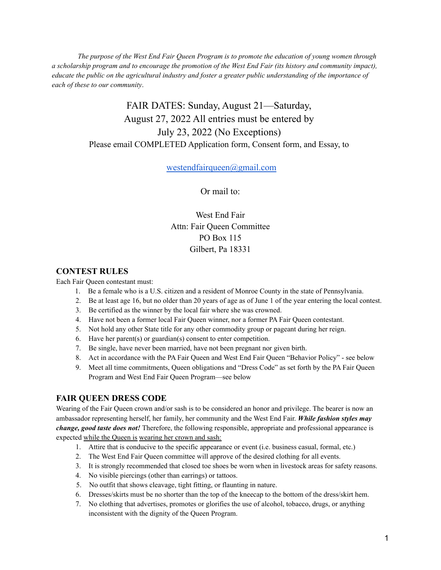*The purpose of the West End Fair Queen Program is to promote the education of young women through* a scholarship program and to encourage the promotion of the West End Fair (its history and community impact), educate the public on the agricultural industry and foster a greater public understanding of the importance of *each of these to our community*.

# FAIR DATES: Sunday, August 21—Saturday, August 27, 2022 All entries must be entered by July 23, 2022 (No Exceptions) Please email COMPLETED Application form, Consent form, and Essay, to

[westendfairqueen@gmail.com](mailto:westendfairqueen@gmail.com)

Or mail to:

West End Fair Attn: Fair Queen Committee PO Box 115 Gilbert, Pa 18331

### **CONTEST RULES**

Each Fair Queen contestant must:

- 1. Be a female who is a U.S. citizen and a resident of Monroe County in the state of Pennsylvania.
- 2. Be at least age 16, but no older than 20 years of age as of June 1 of the year entering the local contest.
- 3. Be certified as the winner by the local fair where she was crowned.
- 4. Have not been a former local Fair Queen winner, nor a former PA Fair Queen contestant.
- 5. Not hold any other State title for any other commodity group or pageant during her reign.
- 6. Have her parent(s) or guardian(s) consent to enter competition.
- 7. Be single, have never been married, have not been pregnant nor given birth.
- 8. Act in accordance with the PA Fair Queen and West End Fair Queen "Behavior Policy" see below
- 9. Meet all time commitments, Queen obligations and "Dress Code" as set forth by the PA Fair Queen Program and West End Fair Queen Program—see below

## **FAIR QUEEN DRESS CODE**

Wearing of the Fair Queen crown and/or sash is to be considered an honor and privilege. The bearer is now an ambassador representing herself, her family, her community and the West End Fair. *While fashion styles may change, good taste does not!* Therefore, the following responsible, appropriate and professional appearance is expected while the Queen is wearing her crown and sash:

- 1. Attire that is conducive to the specific appearance or event (i.e. business casual, formal, etc.)
- 2. The West End Fair Queen committee will approve of the desired clothing for all events.
- 3. It is strongly recommended that closed toe shoes be worn when in livestock areas for safety reasons.
- 4. No visible piercings (other than earrings) or tattoos.
- 5. No outfit that shows cleavage, tight fitting, or flaunting in nature.
- 6. Dresses/skirts must be no shorter than the top of the kneecap to the bottom of the dress/skirt hem.
- 7. No clothing that advertises, promotes or glorifies the use of alcohol, tobacco, drugs, or anything inconsistent with the dignity of the Queen Program.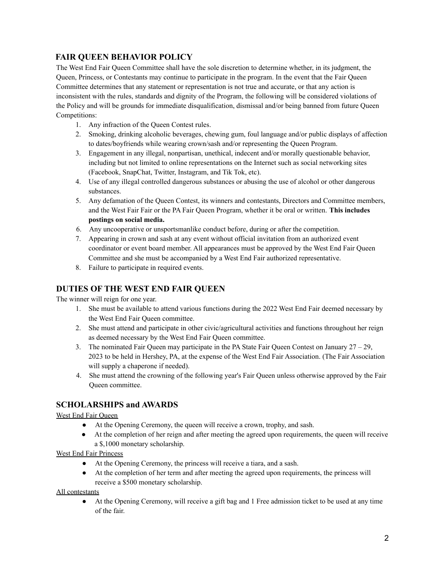### **FAIR QUEEN BEHAVIOR POLICY**

The West End Fair Queen Committee shall have the sole discretion to determine whether, in its judgment, the Queen, Princess, or Contestants may continue to participate in the program. In the event that the Fair Queen Committee determines that any statement or representation is not true and accurate, or that any action is inconsistent with the rules, standards and dignity of the Program, the following will be considered violations of the Policy and will be grounds for immediate disqualification, dismissal and/or being banned from future Queen Competitions:

- 1. Any infraction of the Queen Contest rules.
- 2. Smoking, drinking alcoholic beverages, chewing gum, foul language and/or public displays of affection to dates/boyfriends while wearing crown/sash and/or representing the Queen Program.
- 3. Engagement in any illegal, nonpartisan, unethical, indecent and/or morally questionable behavior, including but not limited to online representations on the Internet such as social networking sites (Facebook, SnapChat, Twitter, Instagram, and Tik Tok, etc).
- 4. Use of any illegal controlled dangerous substances or abusing the use of alcohol or other dangerous substances.
- 5. Any defamation of the Queen Contest, its winners and contestants, Directors and Committee members, and the West Fair Fair or the PA Fair Queen Program, whether it be oral or written. **This includes postings on social media.**
- 6. Any uncooperative or unsportsmanlike conduct before, during or after the competition.
- 7. Appearing in crown and sash at any event without official invitation from an authorized event coordinator or event board member. All appearances must be approved by the West End Fair Queen Committee and she must be accompanied by a West End Fair authorized representative.
- 8. Failure to participate in required events.

### **DUTIES OF THE WEST END FAIR QUEEN**

The winner will reign for one year.

- 1. She must be available to attend various functions during the 2022 West End Fair deemed necessary by the West End Fair Queen committee.
- 2. She must attend and participate in other civic/agricultural activities and functions throughout her reign as deemed necessary by the West End Fair Queen committee.
- 3. The nominated Fair Queen may participate in the PA State Fair Queen Contest on January 27 29, 2023 to be held in Hershey, PA, at the expense of the West End Fair Association. (The Fair Association will supply a chaperone if needed).
- 4. She must attend the crowning of the following year's Fair Queen unless otherwise approved by the Fair Queen committee.

#### **SCHOLARSHIPS and AWARDS**

#### West End Fair Queen

- At the Opening Ceremony, the queen will receive a crown, trophy, and sash.
- At the completion of her reign and after meeting the agreed upon requirements, the queen will receive a \$,1000 monetary scholarship.

West End Fair Princess

- At the Opening Ceremony, the princess will receive a tiara, and a sash.
- At the completion of her term and after meeting the agreed upon requirements, the princess will receive a \$500 monetary scholarship.

#### All contestants

● At the Opening Ceremony, will receive a gift bag and 1 Free admission ticket to be used at any time of the fair.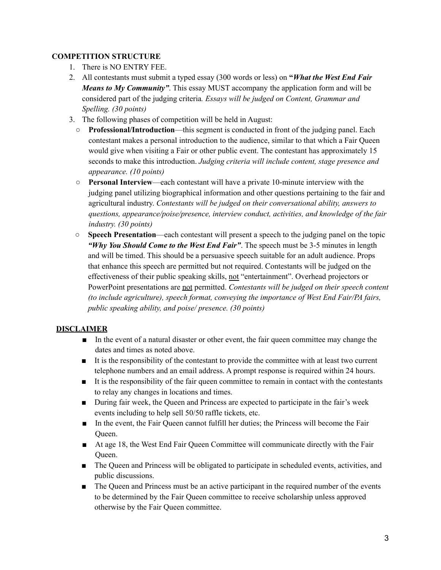#### **COMPETITION STRUCTURE**

- 1. There is NO ENTRY FEE.
- 2. All contestants must submit a typed essay (300 words or less) on **"***What the West End Fair Means to My Community"*. This essay MUST accompany the application form and will be considered part of the judging criteria*. Essays will be judged on Content, Grammar and Spelling. (30 points)*
- 3. The following phases of competition will be held in August:
	- **Professional/Introduction**—this segment is conducted in front of the judging panel. Each contestant makes a personal introduction to the audience, similar to that which a Fair Queen would give when visiting a Fair or other public event. The contestant has approximately 15 seconds to make this introduction. *Judging criteria will include content, stage presence and appearance. (10 points)*
	- **Personal Interview**—each contestant will have a private 10-minute interview with the judging panel utilizing biographical information and other questions pertaining to the fair and agricultural industry. *Contestants will be judged on their conversational ability, answers to questions, appearance/poise/presence, interview conduct, activities, and knowledge of the fair industry. (30 points)*
	- **Speech Presentation**—each contestant will present a speech to the judging panel on the topic *"Why You Should Come to the West End Fair"*. The speech must be 3-5 minutes in length and will be timed. This should be a persuasive speech suitable for an adult audience. Props that enhance this speech are permitted but not required. Contestants will be judged on the effectiveness of their public speaking skills, not "entertainment". Overhead projectors or PowerPoint presentations are not permitted. *Contestants will be judged on their speech content (to include agriculture), speech format, conveying the importance of West End Fair/PA fairs, public speaking ability, and poise/ presence. (30 points)*

### **DISCLAIMER**

- In the event of a natural disaster or other event, the fair queen committee may change the dates and times as noted above.
- It is the responsibility of the contestant to provide the committee with at least two current telephone numbers and an email address. A prompt response is required within 24 hours.
- It is the responsibility of the fair queen committee to remain in contact with the contestants to relay any changes in locations and times.
- During fair week, the Queen and Princess are expected to participate in the fair's week events including to help sell 50/50 raffle tickets, etc.
- In the event, the Fair Queen cannot fulfill her duties; the Princess will become the Fair Queen.
- At age 18, the West End Fair Queen Committee will communicate directly with the Fair Queen.
- The Queen and Princess will be obligated to participate in scheduled events, activities, and public discussions.
- The Queen and Princess must be an active participant in the required number of the events to be determined by the Fair Queen committee to receive scholarship unless approved otherwise by the Fair Queen committee.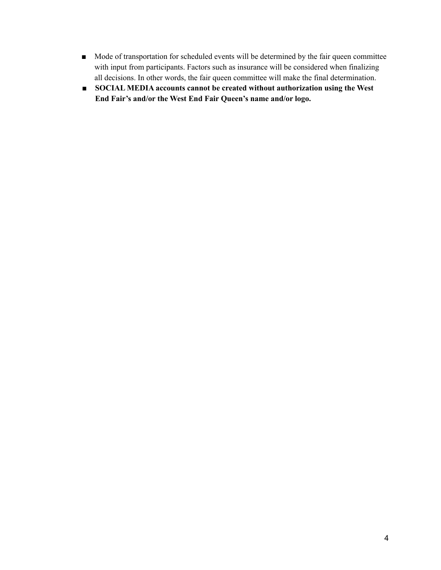- Mode of transportation for scheduled events will be determined by the fair queen committee with input from participants. Factors such as insurance will be considered when finalizing all decisions. In other words, the fair queen committee will make the final determination.
- **SOCIAL MEDIA accounts cannot be created without authorization using the West End Fair's and/or the West End Fair Queen's name and/or logo.**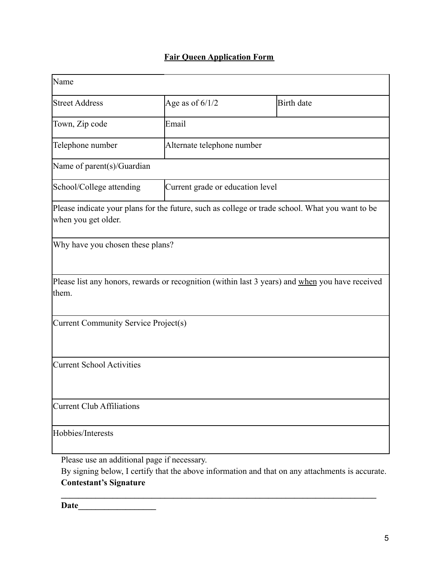# **Fair Queen Application Form**

| Name                                                                                                                                           |                            |                                  |  |  |
|------------------------------------------------------------------------------------------------------------------------------------------------|----------------------------|----------------------------------|--|--|
| <b>Street Address</b>                                                                                                                          | Age as of $6/1/2$          | <b>Birth</b> date                |  |  |
| Town, Zip code                                                                                                                                 | Email                      |                                  |  |  |
| Telephone number                                                                                                                               | Alternate telephone number |                                  |  |  |
| Name of parent(s)/Guardian                                                                                                                     |                            |                                  |  |  |
| School/College attending                                                                                                                       |                            | Current grade or education level |  |  |
| Please indicate your plans for the future, such as college or trade school. What you want to be<br>when you get older.                         |                            |                                  |  |  |
| Why have you chosen these plans?                                                                                                               |                            |                                  |  |  |
| Please list any honors, rewards or recognition (within last 3 years) and when you have received<br>them.                                       |                            |                                  |  |  |
| Current Community Service Project(s)                                                                                                           |                            |                                  |  |  |
| <b>Current School Activities</b>                                                                                                               |                            |                                  |  |  |
| <b>Current Club Affiliations</b>                                                                                                               |                            |                                  |  |  |
| Hobbies/Interests                                                                                                                              |                            |                                  |  |  |
| Please use an additional page if necessary.<br>By signing below, I certify that the above information and that on any attachments is accurate. |                            |                                  |  |  |

**\_\_\_\_\_\_\_\_\_\_\_\_\_\_\_\_\_\_\_\_\_\_\_\_\_\_\_\_\_\_\_\_\_\_\_\_\_\_\_\_\_\_\_\_\_\_\_\_\_\_\_\_\_\_\_\_\_\_\_\_\_\_\_\_\_\_\_\_\_\_\_\_\_**

## **Contestant's Signature**

**Date\_\_\_\_\_\_\_\_\_\_\_\_\_\_\_\_\_\_**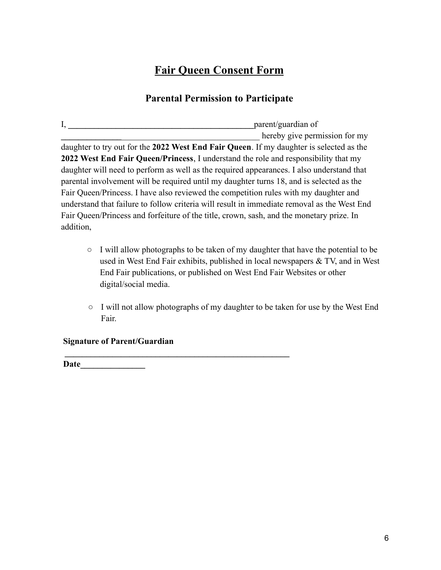# **Fair Queen Consent Form**

# **Parental Permission to Participate**

I, **\_\_\_\_\_\_\_\_\_\_\_\_\_\_\_\_\_\_\_\_\_\_\_\_\_\_\_\_\_\_\_\_\_\_\_\_\_\_\_\_\_\_\_**parent/guardian of hereby give permission for my daughter to try out for the **2022 West End Fair Queen**. If my daughter is selected as the **2022 West End Fair Queen/Princess**, I understand the role and responsibility that my daughter will need to perform as well as the required appearances. I also understand that parental involvement will be required until my daughter turns 18, and is selected as the Fair Queen/Princess. I have also reviewed the competition rules with my daughter and understand that failure to follow criteria will result in immediate removal as the West End Fair Queen/Princess and forfeiture of the title, crown, sash, and the monetary prize. In addition,

- I will allow photographs to be taken of my daughter that have the potential to be used in West End Fair exhibits, published in local newspapers & TV, and in West End Fair publications, or published on West End Fair Websites or other digital/social media.
- I will not allow photographs of my daughter to be taken for use by the West End Fair.

**Signature of Parent/Guardian**

**\_\_\_\_\_\_\_\_\_\_\_\_\_\_\_\_\_\_\_\_\_\_\_\_\_\_\_\_\_\_\_\_\_\_\_\_\_\_\_\_\_\_\_\_\_\_\_\_\_\_\_\_**

**Date\_\_\_\_\_\_\_\_\_\_\_\_\_\_\_**